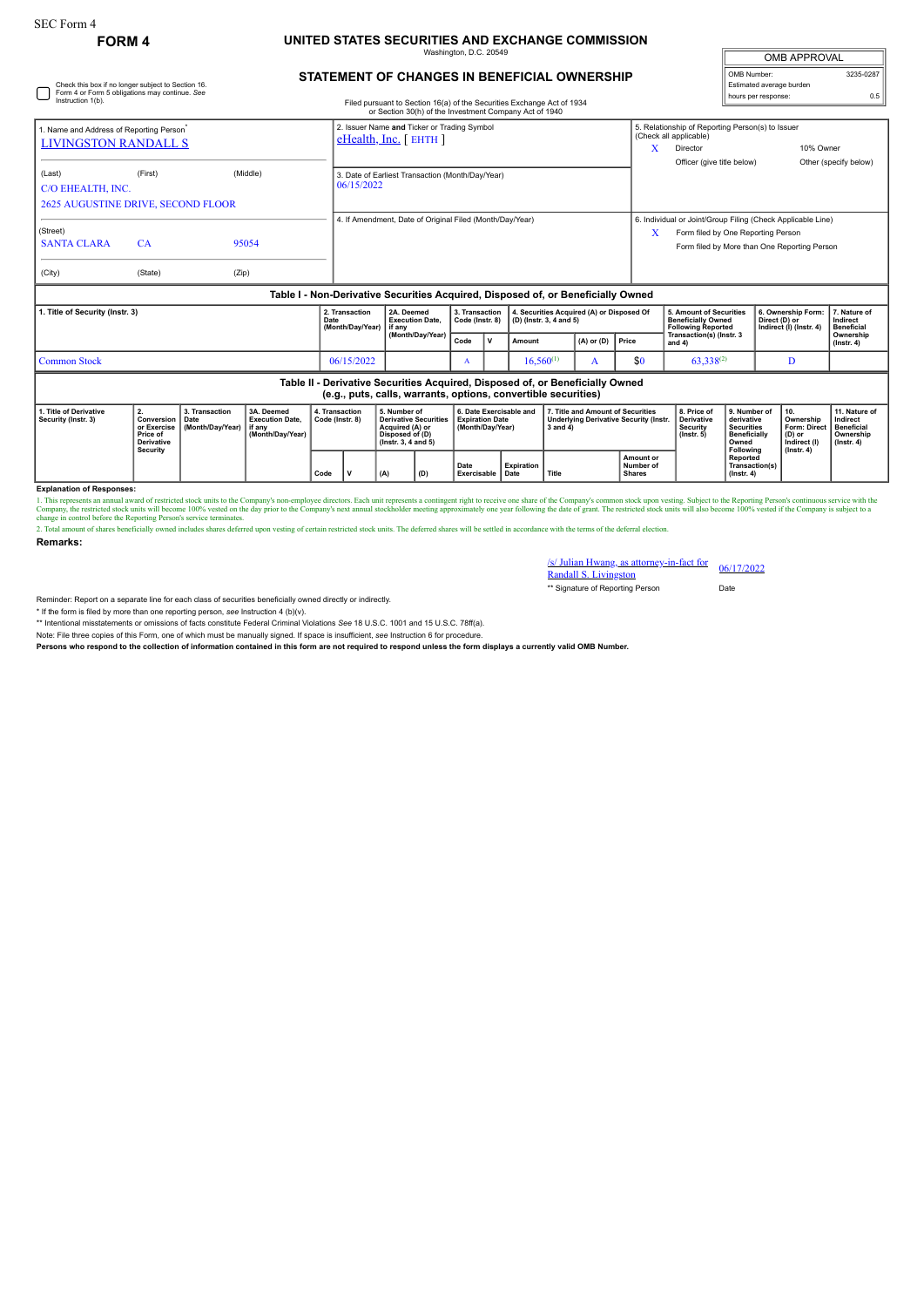## **FORM 4 UNITED STATES SECURITIES AND EXCHANGE COMMISSION**

—<br>Magton, D.C. 2

| <b>OMB APPROVAL</b>                     |           |
|-----------------------------------------|-----------|
| OMB Number:<br>Estimated average burden | 3235-0287 |
| hours per response:                     | 0.5       |

## **STATEMENT OF CHANGES IN BENEFICIAL OWNERSHIP**

| Check this box if no longer subject to Section 16.<br>Form 4 or Form 5 obligations may continue. See<br>Instruction 1(b).<br>Filed pursuant to Section 16(a) of the Securities Exchange Act of 1934 |                                                                  |                                            |                                                                                  |                                   |                                                                                                                                    |                                                                                                           |                                                                |                                                                       |                                   |        |                                                                                                     | hours per response:                                                           | Estimated average burden   | 0.5                                                                               |                                                                                 |                                                                                                             |                                                                                 |
|-----------------------------------------------------------------------------------------------------------------------------------------------------------------------------------------------------|------------------------------------------------------------------|--------------------------------------------|----------------------------------------------------------------------------------|-----------------------------------|------------------------------------------------------------------------------------------------------------------------------------|-----------------------------------------------------------------------------------------------------------|----------------------------------------------------------------|-----------------------------------------------------------------------|-----------------------------------|--------|-----------------------------------------------------------------------------------------------------|-------------------------------------------------------------------------------|----------------------------|-----------------------------------------------------------------------------------|---------------------------------------------------------------------------------|-------------------------------------------------------------------------------------------------------------|---------------------------------------------------------------------------------|
| 1. Name and Address of Reporting Person <sup>®</sup><br><b>LIVINGSTON RANDALL S</b>                                                                                                                 |                                                                  |                                            |                                                                                  |                                   | or Section 30(h) of the Investment Company Act of 1940<br>2. Issuer Name and Ticker or Trading Symbol<br>$e$ Health, Inc. [ EHTH ] |                                                                                                           |                                                                |                                                                       |                                   |        |                                                                                                     |                                                                               | X                          | (Check all applicable)<br>Director                                                | 5. Relationship of Reporting Person(s) to Issuer<br>10% Owner                   |                                                                                                             |                                                                                 |
| (Last)<br>C/O EHEALTH, INC.<br><b>2625 AUGUSTINE DRIVE, SECOND FLOOR</b>                                                                                                                            | (First)                                                          |                                            | (Middle)                                                                         |                                   | 3. Date of Earliest Transaction (Month/Day/Year)<br>06/15/2022                                                                     |                                                                                                           |                                                                |                                                                       |                                   |        |                                                                                                     |                                                                               | Officer (give title below) |                                                                                   |                                                                                 | Other (specify below)                                                                                       |                                                                                 |
| (Street)<br><b>SANTA CLARA</b><br>(City)                                                                                                                                                            | CA<br>(State)                                                    | (Zip)                                      | 95054                                                                            |                                   |                                                                                                                                    |                                                                                                           | 4. If Amendment, Date of Original Filed (Month/Day/Year)       |                                                                       |                                   |        |                                                                                                     |                                                                               | X                          | Form filed by One Reporting Person                                                |                                                                                 | 6. Individual or Joint/Group Filing (Check Applicable Line)<br>Form filed by More than One Reporting Person |                                                                                 |
|                                                                                                                                                                                                     |                                                                  |                                            | Table I - Non-Derivative Securities Acquired, Disposed of, or Beneficially Owned |                                   |                                                                                                                                    |                                                                                                           |                                                                |                                                                       |                                   |        |                                                                                                     |                                                                               |                            |                                                                                   |                                                                                 |                                                                                                             |                                                                                 |
| 1. Title of Security (Instr. 3)                                                                                                                                                                     |                                                                  |                                            |                                                                                  | Date                              | 2. Transaction<br>(Month/Day/Year)<br>if any                                                                                       |                                                                                                           | 2A. Deemed<br><b>Execution Date.</b>                           |                                                                       | 3. Transaction<br>Code (Instr. 8) |        | 4. Securities Acquired (A) or Disposed Of<br>(D) (Instr. 3, 4 and 5)                                |                                                                               |                            | 5. Amount of Securities<br><b>Beneficially Owned</b><br><b>Following Reported</b> |                                                                                 | 6. Ownership Form:<br>Direct (D) or<br>Indirect (I) (Instr. 4)                                              | 7. Nature of<br>Indirect<br><b>Beneficial</b>                                   |
|                                                                                                                                                                                                     |                                                                  |                                            |                                                                                  |                                   |                                                                                                                                    | (Month/Day/Year)                                                                                          |                                                                | Code                                                                  | v                                 | Amount |                                                                                                     | $(A)$ or $(D)$                                                                | Price                      | Transaction(s) (Instr. 3<br>and $4)$                                              |                                                                                 |                                                                                                             | Ownership<br>$($ lnstr. 4 $)$                                                   |
| <b>Common Stock</b>                                                                                                                                                                                 |                                                                  |                                            |                                                                                  |                                   | 06/15/2022                                                                                                                         |                                                                                                           | A                                                              |                                                                       | $16.560^{(1)}$<br>A               |        | \$0                                                                                                 | $63.338^{(2)}$                                                                |                            | D                                                                                 |                                                                                 |                                                                                                             |                                                                                 |
|                                                                                                                                                                                                     |                                                                  |                                            |                                                                                  |                                   |                                                                                                                                    |                                                                                                           | (e.g., puts, calls, warrants, options, convertible securities) |                                                                       |                                   |        |                                                                                                     | Table II - Derivative Securities Acquired, Disposed of, or Beneficially Owned |                            |                                                                                   |                                                                                 |                                                                                                             |                                                                                 |
| 1. Title of Derivative<br>Security (Instr. 3)                                                                                                                                                       | 2.<br>Conversion<br>or Exercise<br>Price of<br><b>Derivative</b> | 3. Transaction<br>Date<br>(Month/Day/Year) | 3A. Deemed<br><b>Execution Date,</b><br>if any<br>(Month/Day/Year)               | 4. Transaction<br>Code (Instr. 8) |                                                                                                                                    | 5. Number of<br><b>Derivative Securities</b><br>Acquired (A) or<br>Disposed of (D)<br>(Instr. 3, 4 and 5) |                                                                | 6. Date Exercisable and<br><b>Expiration Date</b><br>(Month/Day/Year) |                                   |        | 7. Title and Amount of Securities<br><b>Underlying Derivative Security (Instr.</b><br>$3$ and $4$ ) |                                                                               |                            | 8. Price of<br><b>Derivative</b><br>Security<br>$($ lnstr $, 5)$                  | 9. Number of<br>derivative<br><b>Securities</b><br><b>Beneficially</b><br>Owned | 10.<br>Ownership<br><b>Form: Direct</b><br>(D) or                                                           | 11. Nature of<br>Indirect<br><b>Beneficial</b><br>Ownership<br>$($ Instr. 4 $)$ |
|                                                                                                                                                                                                     | Security                                                         |                                            |                                                                                  |                                   |                                                                                                                                    |                                                                                                           |                                                                |                                                                       |                                   |        |                                                                                                     |                                                                               |                            |                                                                                   | Following                                                                       | Indirect (I)<br>$($ Instr. 4 $)$                                                                            |                                                                                 |

**Explanation of Responses:**

1. This represents an annual award of restricted stock units to the Company's non-employee directors. Each unit represents a contingent right to receive one share of the Company's common stock upon vesting. Subject to the

2. Total amount of shares beneficially owned includes shares deferred upon vesting of certain restricted stock units. The deferred shares will be settled in accordance with the terms of the deferral election.

**Remarks:**

## /s/ Julian Hwang, as attorney-in-fact for Randall S. Livingston 06/17/2022

\*\* Signature of Reporting Person Date

Reminder: Report on a separate line for each class of securities beneficially owned directly or indirectly.

\* If the form is filed by more than one reporting person, *see* Instruction 4 (b)(v).

\*\* Intentional misstatements or omissions of facts constitute Federal Criminal Violations *See* 18 U.S.C. 1001 and 15 U.S.C. 78ff(a).

Note: File three copies of this Form, one of which must be manually signed. If space is insufficient, see Instruction 6 for procedure.<br>Persons who respond to the collection of information contained in this form are not req